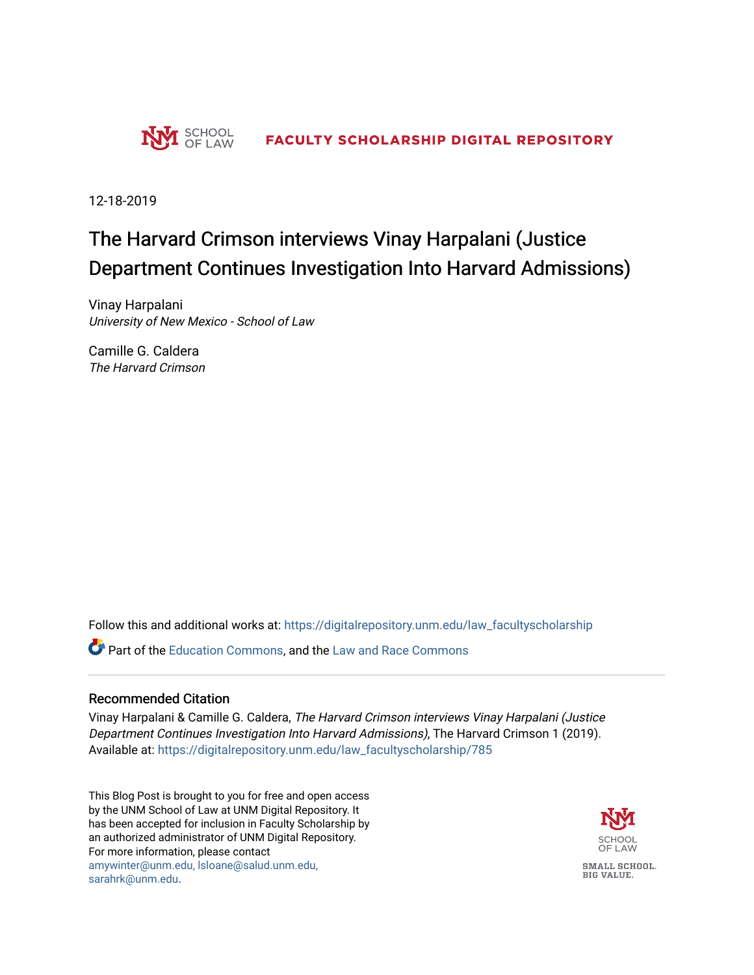

12-18-2019

## The Harvard Crimson interviews Vinay Harpalani (Justice Department Continues Investigation Into Harvard Admissions)

Vinay Harpalani University of New Mexico - School of Law

Camille G. Caldera The Harvard Crimson

Follow this and additional works at: [https://digitalrepository.unm.edu/law\\_facultyscholarship](https://digitalrepository.unm.edu/law_facultyscholarship?utm_source=digitalrepository.unm.edu%2Flaw_facultyscholarship%2F785&utm_medium=PDF&utm_campaign=PDFCoverPages) 

**C** Part of the [Education Commons](http://network.bepress.com/hgg/discipline/784?utm_source=digitalrepository.unm.edu%2Flaw_facultyscholarship%2F785&utm_medium=PDF&utm_campaign=PDFCoverPages), and the Law and Race Commons

## Recommended Citation

Vinay Harpalani & Camille G. Caldera, The Harvard Crimson interviews Vinay Harpalani (Justice Department Continues Investigation Into Harvard Admissions), The Harvard Crimson 1 (2019). Available at: [https://digitalrepository.unm.edu/law\\_facultyscholarship/785](https://digitalrepository.unm.edu/law_facultyscholarship/785?utm_source=digitalrepository.unm.edu%2Flaw_facultyscholarship%2F785&utm_medium=PDF&utm_campaign=PDFCoverPages) 

This Blog Post is brought to you for free and open access by the UNM School of Law at UNM Digital Repository. It has been accepted for inclusion in Faculty Scholarship by an authorized administrator of UNM Digital Repository. For more information, please contact [amywinter@unm.edu, lsloane@salud.unm.edu,](mailto:amywinter@unm.edu,%20lsloane@salud.unm.edu,%20sarahrk@unm.edu)  [sarahrk@unm.edu.](mailto:amywinter@unm.edu,%20lsloane@salud.unm.edu,%20sarahrk@unm.edu)

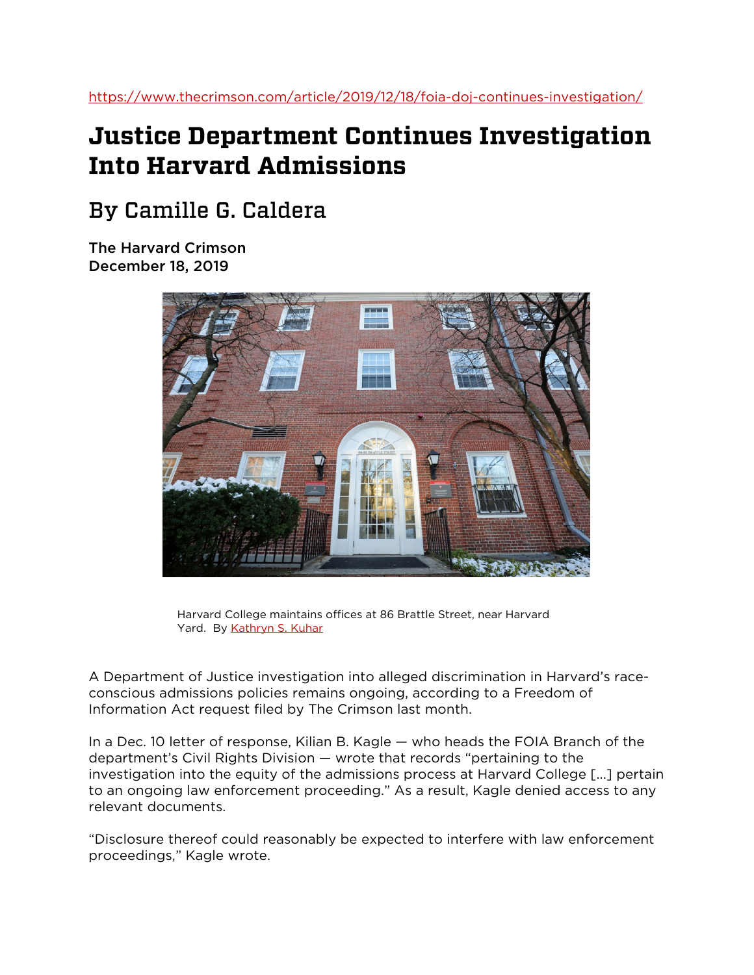## **Justice Department Continues Investigation Into Harvard Admissions**

## By Camille G. Caldera

The Harvard Crimson December 18, 2019



Harvard College maintains offices at 86 Brattle Street, near Harvard Yard. By [Kathryn S. Kuhar](https://www.thecrimson.com/writer/1213635/Kathryn_S._Kuhar/)

A Department of Justice investigation into alleged discrimination in Harvard's raceconscious admissions policies remains ongoing, according to a Freedom of Information Act request filed by The Crimson last month.

In a Dec. 10 letter of response, Kilian B. Kagle — who heads the FOIA Branch of the department's Civil Rights Division — wrote that records "pertaining to the investigation into the equity of the admissions process at Harvard College [...] pertain to an ongoing law enforcement proceeding." As a result, Kagle denied access to any relevant documents.

"Disclosure thereof could reasonably be expected to interfere with law enforcement proceedings," Kagle wrote.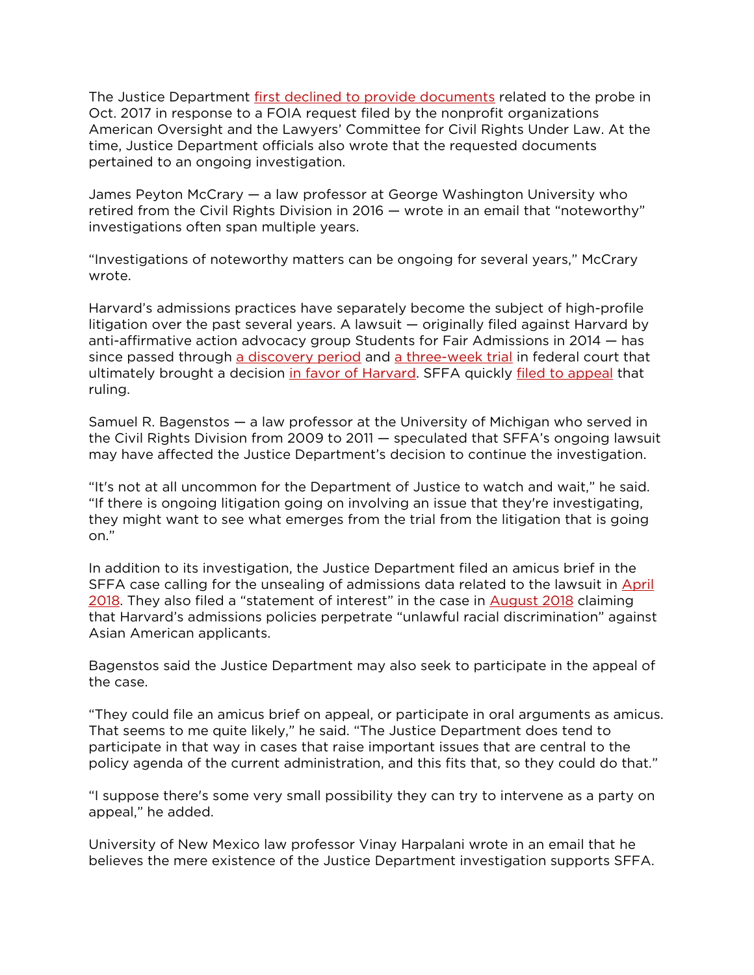The Justice Department [first declined to provide documents](https://www.thecrimson.com/article/2017/10/11/foia-confirms-doj-investigation/) related to the probe in Oct. 2017 in response to a FOIA request filed by the nonprofit organizations American Oversight and the Lawyers' Committee for Civil Rights Under Law. At the time, Justice Department officials also wrote that the requested documents pertained to an ongoing investigation.

James Peyton McCrary — a law professor at George Washington University who retired from the Civil Rights Division in 2016 — wrote in an email that "noteworthy" investigations often span multiple years.

"Investigations of noteworthy matters can be ongoing for several years," McCrary wrote.

Harvard's admissions practices have separately become the subject of high-profile litigation over the past several years. A lawsuit — originally filed against Harvard by anti-affirmative action advocacy group Students for Fair Admissions in 2014 — has since passed through [a discovery period](https://www.thecrimson.com/article/2018/4/10/thousands-pages-to-become-public/) and [a three-week trial](https://www.thecrimson.com/article/2018/10/16/what-happened-today/) in federal court that ultimately brought a decision [in favor of Harvard.](https://www.thecrimson.com/article/2019/10/2/admissions-suit-decision/) SFFA quickly [filed to appeal](https://www.thecrimson.com/article/2019/10/5/sffa-appeals-admissions-decision/) that ruling.

Samuel R. Bagenstos — a law professor at the University of Michigan who served in the Civil Rights Division from 2009 to 2011 — speculated that SFFA's ongoing lawsuit may have affected the Justice Department's decision to continue the investigation.

"It's not at all uncommon for the Department of Justice to watch and wait," he said. "If there is ongoing litigation going on involving an issue that they're investigating, they might want to see what emerges from the trial from the litigation that is going on."

In addition to its investigation, the Justice Department filed an amicus brief in the SFFA case calling for the unsealing of admissions data related to the lawsuit in [April](https://www.thecrimson.com/article/2018/4/7/doj-intervenes-in-lawsuit/)  [2018.](https://www.thecrimson.com/article/2018/4/7/doj-intervenes-in-lawsuit/) They also filed a "statement of interest" in the case in [August 2018](https://www.thecrimson.com/article/2018/8/30/doj-harvard-unlawful/) claiming that Harvard's admissions policies perpetrate "unlawful racial discrimination" against Asian American applicants.

Bagenstos said the Justice Department may also seek to participate in the appeal of the case.

"They could file an amicus brief on appeal, or participate in oral arguments as amicus. That seems to me quite likely," he said. "The Justice Department does tend to participate in that way in cases that raise important issues that are central to the policy agenda of the current administration, and this fits that, so they could do that."

"I suppose there's some very small possibility they can try to intervene as a party on appeal," he added.

University of New Mexico law professor Vinay Harpalani wrote in an email that he believes the mere existence of the Justice Department investigation supports SFFA.